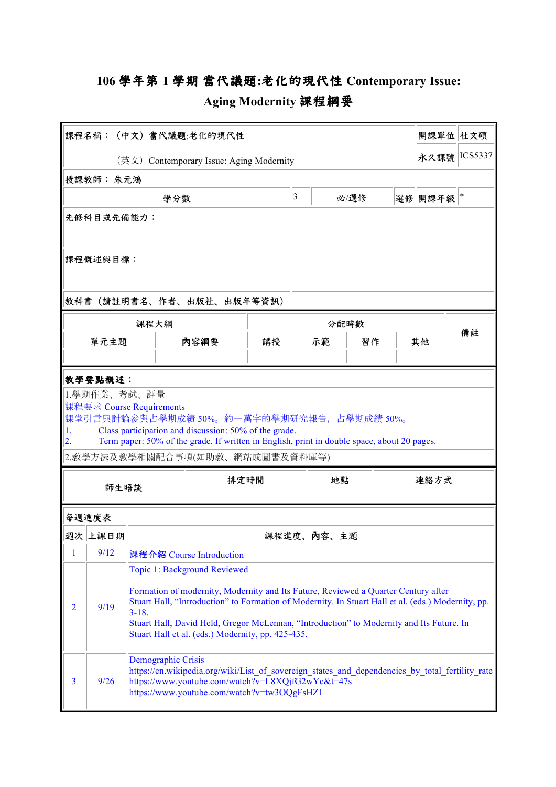## **106 學年第 1 學期 當代議題:⽼化的現代性 Contemporary Issue: Aging Modernity 課程綱要**

| 課程名稱:(中文)當代議題:老化的現代性                                                                                                                                                                                                                                                                       |         |                                                                                                                                                                                                                                                                                                                                                                                        |                          |      |   |          |      | 開課單位 社文碩 |              |    |  |
|--------------------------------------------------------------------------------------------------------------------------------------------------------------------------------------------------------------------------------------------------------------------------------------------|---------|----------------------------------------------------------------------------------------------------------------------------------------------------------------------------------------------------------------------------------------------------------------------------------------------------------------------------------------------------------------------------------------|--------------------------|------|---|----------|------|----------|--------------|----|--|
| (英文) Contemporary Issue: Aging Modernity                                                                                                                                                                                                                                                   |         |                                                                                                                                                                                                                                                                                                                                                                                        |                          |      |   |          |      |          | 永久課號 ICS5337 |    |  |
| 授課教師: 朱元鴻                                                                                                                                                                                                                                                                                  |         |                                                                                                                                                                                                                                                                                                                                                                                        |                          |      |   |          |      |          |              |    |  |
| 學分數                                                                                                                                                                                                                                                                                        |         |                                                                                                                                                                                                                                                                                                                                                                                        |                          |      | 3 | 必/選修     |      |          | 選修 開課年級      |    |  |
| 先修科目或先備能力:                                                                                                                                                                                                                                                                                 |         |                                                                                                                                                                                                                                                                                                                                                                                        |                          |      |   |          |      |          |              |    |  |
| 課程概述與目標:                                                                                                                                                                                                                                                                                   |         |                                                                                                                                                                                                                                                                                                                                                                                        |                          |      |   |          |      |          |              |    |  |
|                                                                                                                                                                                                                                                                                            |         |                                                                                                                                                                                                                                                                                                                                                                                        | 教科書(請註明書名、作者、出版社、出版年等資訊) |      |   |          |      |          |              |    |  |
|                                                                                                                                                                                                                                                                                            |         | 課程大綱                                                                                                                                                                                                                                                                                                                                                                                   |                          | 分配時數 |   |          |      |          |              |    |  |
|                                                                                                                                                                                                                                                                                            | 單元主題    |                                                                                                                                                                                                                                                                                                                                                                                        | 内容綱要                     | 講授   |   | 習作<br>示範 |      | 其他       |              | 備註 |  |
|                                                                                                                                                                                                                                                                                            |         |                                                                                                                                                                                                                                                                                                                                                                                        |                          |      |   |          |      |          |              |    |  |
| 1.學期作業、考試、評量<br>課程要求 Course Requirements<br>課堂引言與討論參與占學期成績50%。約一萬字的學期研究報告,占學期成績50%。<br>Class participation and discussion: 50% of the grade.<br>1.<br>Term paper: 50% of the grade. If written in English, print in double space, about 20 pages.<br>2.<br>2.教學方法及教學相關配合事項(如助教、網站或圖書及資料庫等) |         |                                                                                                                                                                                                                                                                                                                                                                                        |                          |      |   |          |      |          |              |    |  |
| 師生晤談                                                                                                                                                                                                                                                                                       |         |                                                                                                                                                                                                                                                                                                                                                                                        | 排定時間                     | 地點   |   |          | 連絡方式 |          |              |    |  |
| 每週進度表                                                                                                                                                                                                                                                                                      |         |                                                                                                                                                                                                                                                                                                                                                                                        |                          |      |   |          |      |          |              |    |  |
|                                                                                                                                                                                                                                                                                            | 週次 上課日期 | 課程進度、內容、主題                                                                                                                                                                                                                                                                                                                                                                             |                          |      |   |          |      |          |              |    |  |
| 1                                                                                                                                                                                                                                                                                          | 9/12    | 課程介紹 Course Introduction                                                                                                                                                                                                                                                                                                                                                               |                          |      |   |          |      |          |              |    |  |
| $\overline{2}$                                                                                                                                                                                                                                                                             | 9/19    | Topic 1: Background Reviewed<br>Formation of modernity, Modernity and Its Future, Reviewed a Quarter Century after<br>Stuart Hall, "Introduction" to Formation of Modernity. In Stuart Hall et al. (eds.) Modernity, pp.<br>$3 - 18.$<br>Stuart Hall, David Held, Gregor McLennan, "Introduction" to Modernity and Its Future. In<br>Stuart Hall et al. (eds.) Modernity, pp. 425-435. |                          |      |   |          |      |          |              |    |  |
| 3                                                                                                                                                                                                                                                                                          | 9/26    | Demographic Crisis<br>https://en.wikipedia.org/wiki/List of sovereign states and dependencies by total fertility rate<br>https://www.youtube.com/watch?v=L8XQjfG2wYc&t=47s<br>https://www.youtube.com/watch?v=tw3OQgFsHZI                                                                                                                                                              |                          |      |   |          |      |          |              |    |  |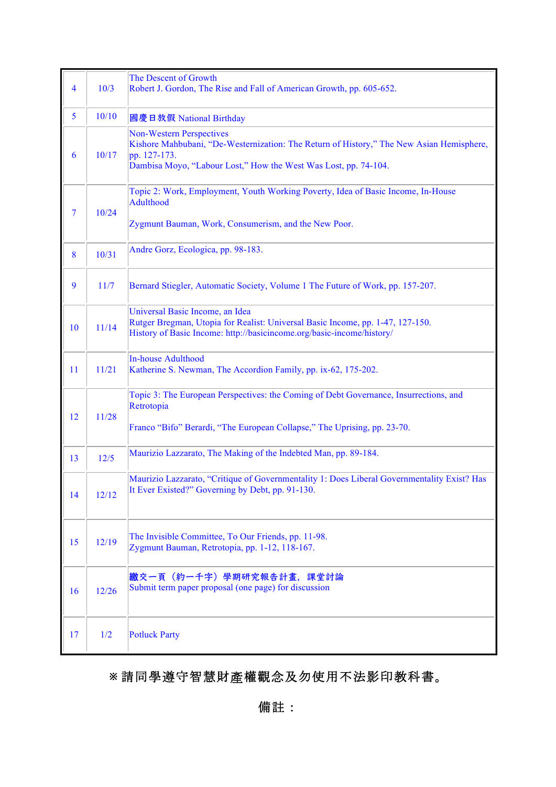| 4  | 10/3  | The Descent of Growth<br>Robert J. Gordon, The Rise and Fall of American Growth, pp. 605-652.                                                                                                                  |  |  |  |
|----|-------|----------------------------------------------------------------------------------------------------------------------------------------------------------------------------------------------------------------|--|--|--|
| 5  | 10/10 | 國慶日放假 National Birthday                                                                                                                                                                                        |  |  |  |
| 6  | 10/17 | <b>Non-Western Perspectives</b><br>Kishore Mahbubani, "De-Westernization: The Return of History," The New Asian Hemisphere,<br>pp. 127-173.<br>Dambisa Moyo, "Labour Lost," How the West Was Lost, pp. 74-104. |  |  |  |
| 7  | 10/24 | Topic 2: Work, Employment, Youth Working Poverty, Idea of Basic Income, In-House<br><b>Adulthood</b><br>Zygmunt Bauman, Work, Consumerism, and the New Poor.                                                   |  |  |  |
| 8  | 10/31 | Andre Gorz, Ecologica, pp. 98-183.                                                                                                                                                                             |  |  |  |
| 9  | 11/7  | Bernard Stiegler, Automatic Society, Volume 1 The Future of Work, pp. 157-207.                                                                                                                                 |  |  |  |
| 10 | 11/14 | Universal Basic Income, an Idea<br>Rutger Bregman, Utopia for Realist: Universal Basic Income, pp. 1-47, 127-150.<br>History of Basic Income: http://basicincome.org/basic-income/history/                     |  |  |  |
| 11 | 11/21 | <b>In-house Adulthood</b><br>Katherine S. Newman, The Accordion Family, pp. ix-62, 175-202.                                                                                                                    |  |  |  |
| 12 | 11/28 | Topic 3: The European Perspectives: the Coming of Debt Governance, Insurrections, and<br>Retrotopia<br>Franco "Bifo" Berardi, "The European Collapse," The Uprising, pp. 23-70.                                |  |  |  |
| 13 | 12/5  | Maurizio Lazzarato, The Making of the Indebted Man, pp. 89-184.                                                                                                                                                |  |  |  |
| 14 | 12/12 | Maurizio Lazzarato, "Critique of Governmentality 1: Does Liberal Governmentality Exist? Has<br>It Ever Existed?" Governing by Debt, pp. 91-130.                                                                |  |  |  |
| 15 | 12/19 | The Invisible Committee, To Our Friends, pp. 11-98.<br>Zygmunt Bauman, Retrotopia, pp. 1-12, 118-167.                                                                                                          |  |  |  |
| 16 | 12/26 | 繳交一頁(約一千字)學期研究報告計畫,課堂討論<br>Submit term paper proposal (one page) for discussion                                                                                                                                |  |  |  |
| 17 | 1/2   | <b>Potluck Party</b>                                                                                                                                                                                           |  |  |  |

**※** 請同學遵守智慧財產權觀念及勿使用不法影印教科書。